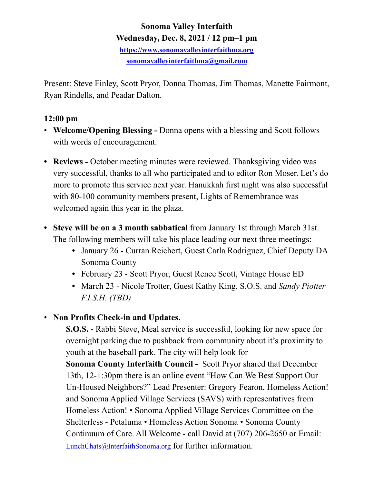# **Sonoma Valley Interfaith Wednesday, Dec. 8, 2021 / 12 pm–1 pm <https://www.sonomavalleyinterfaithma.org> [sonomavalleyinterfaithma@gmail.com](mailto:sonomavalleyinterfaithma@gmail.com)**

Present: Steve Finley, Scott Pryor, Donna Thomas, Jim Thomas, Manette Fairmont, Ryan Rindells, and Peadar Dalton.

### **12:00 pm**

- **Welcome/Opening Blessing** Donna opens with a blessing and Scott follows with words of encouragement.
- **Reviews** October meeting minutes were reviewed. Thanksgiving video was very successful, thanks to all who participated and to editor Ron Moser. Let's do more to promote this service next year. Hanukkah first night was also successful with 80-100 community members present, Lights of Remembrance was welcomed again this year in the plaza.
- **• Steve will be on a 3 month sabbatical** from January 1st through March 31st. The following members will take his place leading our next three meetings:
	- **•** January 26 Curran Reichert, Guest Carla Rodriguez, Chief Deputy DA Sonoma County
	- **•** February 23 Scott Pryor, Guest Renee Scott, Vintage House ED
	- **•** March 23 Nicole Trotter, Guest Kathy King, S.O.S. and *Sandy Piotter F.I.S.H. (TBD)*
- **Non Profits Check-in and Updates.**

 **S.O.S. -** Rabbi Steve, Meal service is successful, looking for new space for overnight parking due to pushback from community about it's proximity to youth at the baseball park. The city will help look for **Sonoma County Interfaith Council -** Scott Pryor shared that December 13th, 12-1:30pm there is an online event "How Can We Best Support Our Un-Housed Neighbors?" Lead Presenter: Gregory Fearon, Homeless Action! and Sonoma Applied Village Services (SAVS) with representatives from Homeless Action! • Sonoma Applied Village Services Committee on the Shelterless - Petaluma • Homeless Action Sonoma • Sonoma County Continuum of Care. All Welcome - call David at (707) 206-2650 or Email: [LunchChats@InterfaithSonoma.org](mailto:LunchChats@InterfaithSonoma.org) for further information.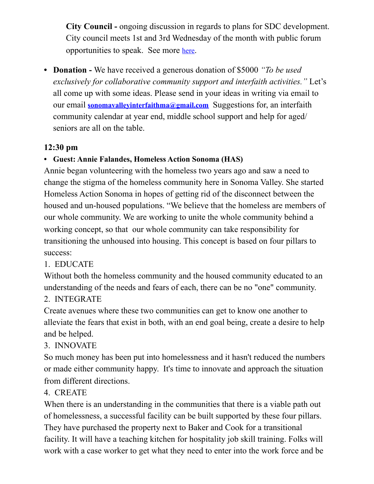**City Council -** ongoing discussion in regards to plans for SDC development. City council meets 1st and 3rd Wednesday of the month with public forum opportunities to speak. See more [here.](https://www.sonomacity.org/sonoma-city-council-selects-jack-ding-as-mayor-kelso-barnett-as-vice-mayor/)

**• Donation -** We have received a generous donation of \$5000 *"To be used exclusively for collaborative community support and interfaith activities."* Let's all come up with some ideas. Please send in your ideas in writing via email to our email **[sonomavalleyinterfaithma@gmail.com](mailto:sonomavalleyinterfaithma@gmail.com)** Suggestions for, an interfaith community calendar at year end, middle school support and help for aged/ seniors are all on the table.

# **12:30 pm**

## **• Guest: Annie Falandes, Homeless Action Sonoma (HAS)**

Annie began volunteering with the homeless two years ago and saw a need to change the stigma of the homeless community here in Sonoma Valley. She started Homeless Action Sonoma in hopes of getting rid of the disconnect between the housed and un-housed populations. "We believe that the homeless are members of our whole community. We are working to unite the whole community behind a working concept, so that our whole community can take responsibility for transitioning the unhoused into housing. This concept is based on four pillars to success:

### 1. EDUCATE

Without both the homeless community and the housed community educated to an understanding of the needs and fears of each, there can be no "one" community.

### 2. INTEGRATE

Create avenues where these two communities can get to know one another to alleviate the fears that exist in both, with an end goal being, create a desire to help and be helped.

## 3. INNOVATE

So much money has been put into homelessness and it hasn't reduced the numbers or made either community happy. It's time to innovate and approach the situation from different directions.

## 4. CREATE

When there is an understanding in the communities that there is a viable path out of homelessness, a successful facility can be built supported by these four pillars. They have purchased the property next to Baker and Cook for a transitional facility. It will have a teaching kitchen for hospitality job skill training. Folks will work with a case worker to get what they need to enter into the work force and be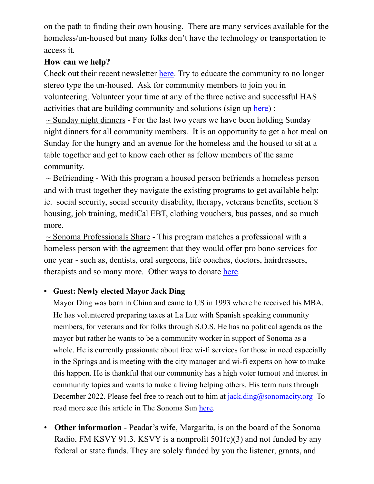on the path to finding their own housing. There are many services available for the homeless/un-housed but many folks don't have the technology or transportation to access it.

### **How can we help?**

Check out their recent newsletter [here.](https://www.hassonoma.org/newsletters/december-2021) Try to educate the community to no longer stereo type the un-housed. Ask for community members to join you in volunteering. Volunteer your time at any of the three active and successful HAS activities that are building community and solutions (sign up [here](https://www.hassonoma.org/programs.html)) :  $\sim$  Sunday night dinners - For the last two years we have been holding Sunday night dinners for all community members. It is an opportunity to get a hot meal on Sunday for the hungry and an avenue for the homeless and the housed to sit at a table together and get to know each other as fellow members of the same community.

 $\sim$  Befriending - With this program a housed person befriends a homeless person and with trust together they navigate the existing programs to get available help; ie. social security, social security disability, therapy, veterans benefits, section 8 housing, job training, mediCal EBT, clothing vouchers, bus passes, and so much more.

 $\sim$  Sonoma Professionals Share - This program matches a professional with a homeless person with the agreement that they would offer pro bono services for one year - such as, dentists, oral surgeons, life coaches, doctors, hairdressers, therapists and so many more. Other ways to donate [here.](https://www.hassonoma.org/take-action.html)

### **• Guest: Newly elected Mayor Jack Ding**

Mayor Ding was born in China and came to US in 1993 where he received his MBA. He has volunteered preparing taxes at La Luz with Spanish speaking community members, for veterans and for folks through S.O.S. He has no political agenda as the mayor but rather he wants to be a community worker in support of Sonoma as a whole. He is currently passionate about free wi-fi services for those in need especially in the Springs and is meeting with the city manager and wi-fi experts on how to make this happen. He is thankful that our community has a high voter turnout and interest in community topics and wants to make a living helping others. His term runs through December 2022. Please feel free to reach out to him at  $iack.dimg@sonomacity.org$  To read more see this article in The Sonoma Sun [here.](https://sonomasun.com/2021/12/02/jack-ding-is-sonomas-new-mayor/)

• **Other information** - Peadar's wife, Margarita, is on the board of the Sonoma Radio, FM KSVY 91.3. KSVY is a nonprofit  $501(c)(3)$  and not funded by any federal or state funds. They are solely funded by you the listener, grants, and